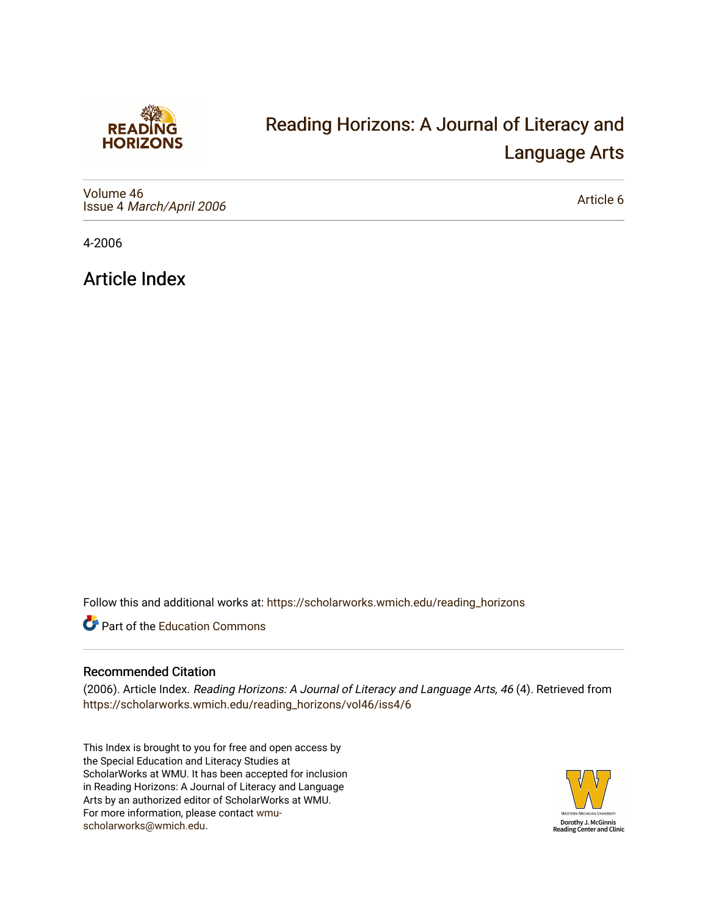

## [Reading Horizons: A Journal of Literacy and](https://scholarworks.wmich.edu/reading_horizons)  [Language Arts](https://scholarworks.wmich.edu/reading_horizons)

[Volume 46](https://scholarworks.wmich.edu/reading_horizons/vol46) Issue 4 [March/April 2006](https://scholarworks.wmich.edu/reading_horizons/vol46/iss4)

[Article 6](https://scholarworks.wmich.edu/reading_horizons/vol46/iss4/6) 

4-2006

Article Index

Follow this and additional works at: [https://scholarworks.wmich.edu/reading\\_horizons](https://scholarworks.wmich.edu/reading_horizons?utm_source=scholarworks.wmich.edu%2Freading_horizons%2Fvol46%2Fiss4%2F6&utm_medium=PDF&utm_campaign=PDFCoverPages)

Part of the [Education Commons](http://network.bepress.com/hgg/discipline/784?utm_source=scholarworks.wmich.edu%2Freading_horizons%2Fvol46%2Fiss4%2F6&utm_medium=PDF&utm_campaign=PDFCoverPages)

## Recommended Citation

(2006). Article Index. Reading Horizons: A Journal of Literacy and Language Arts, 46 (4). Retrieved from [https://scholarworks.wmich.edu/reading\\_horizons/vol46/iss4/6](https://scholarworks.wmich.edu/reading_horizons/vol46/iss4/6?utm_source=scholarworks.wmich.edu%2Freading_horizons%2Fvol46%2Fiss4%2F6&utm_medium=PDF&utm_campaign=PDFCoverPages) 

This Index is brought to you for free and open access by the Special Education and Literacy Studies at ScholarWorks at WMU. It has been accepted for inclusion in Reading Horizons: A Journal of Literacy and Language Arts by an authorized editor of ScholarWorks at WMU. For more information, please contact [wmu](mailto:wmu-scholarworks@wmich.edu)[scholarworks@wmich.edu.](mailto:wmu-scholarworks@wmich.edu)

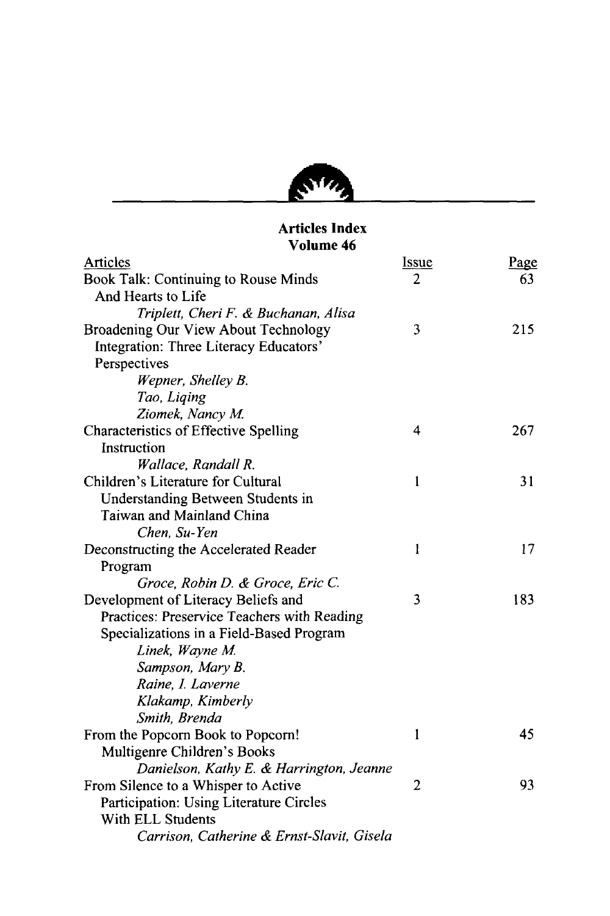

## Articles Index Volume 46

| Articles                                     | <u>Issue</u> | Page |
|----------------------------------------------|--------------|------|
| Book Talk: Continuing to Rouse Minds         | 2            | 63   |
| And Hearts to Life                           |              |      |
| Triplett, Cheri F. & Buchanan, Alisa         |              |      |
| Broadening Our View About Technology         | 3            | 215  |
| Integration: Three Literacy Educators'       |              |      |
| Perspectives                                 |              |      |
| Wepner, Shelley B.                           |              |      |
| Tao, Liqing                                  |              |      |
| Ziomek, Nancy M.                             |              |      |
| <b>Characteristics of Effective Spelling</b> | 4            | 267  |
| Instruction                                  |              |      |
| Wallace, Randall R.                          |              |      |
| Children's Literature for Cultural           | 1            | 31   |
| Understanding Between Students in            |              |      |
| Taiwan and Mainland China                    |              |      |
| Chen, Su-Yen                                 |              |      |
| Deconstructing the Accelerated Reader        | $\mathbf{1}$ | 17   |
| Program                                      |              |      |
| Groce, Robin D. & Groce, Eric C.             |              |      |
| Development of Literacy Beliefs and          | 3            | 183  |
| Practices: Preservice Teachers with Reading  |              |      |
| Specializations in a Field-Based Program     |              |      |
| Linek, Wayne M.                              |              |      |
| Sampson, Mary B.                             |              |      |
| Raine, I. Laverne                            |              |      |
| Klakamp, Kimberly                            |              |      |
| Smith, Brenda                                |              |      |
| From the Popcorn Book to Popcorn!            | 1            | 45   |
| Multigenre Children's Books                  |              |      |
| Danielson, Kathy E. & Harrington, Jeanne     |              |      |
| From Silence to a Whisper to Active          | 2            | 93   |
| Participation: Using Literature Circles      |              |      |
| With ELL Students                            |              |      |
| Carrison, Catherine & Ernst-Slavit, Gisela   |              |      |